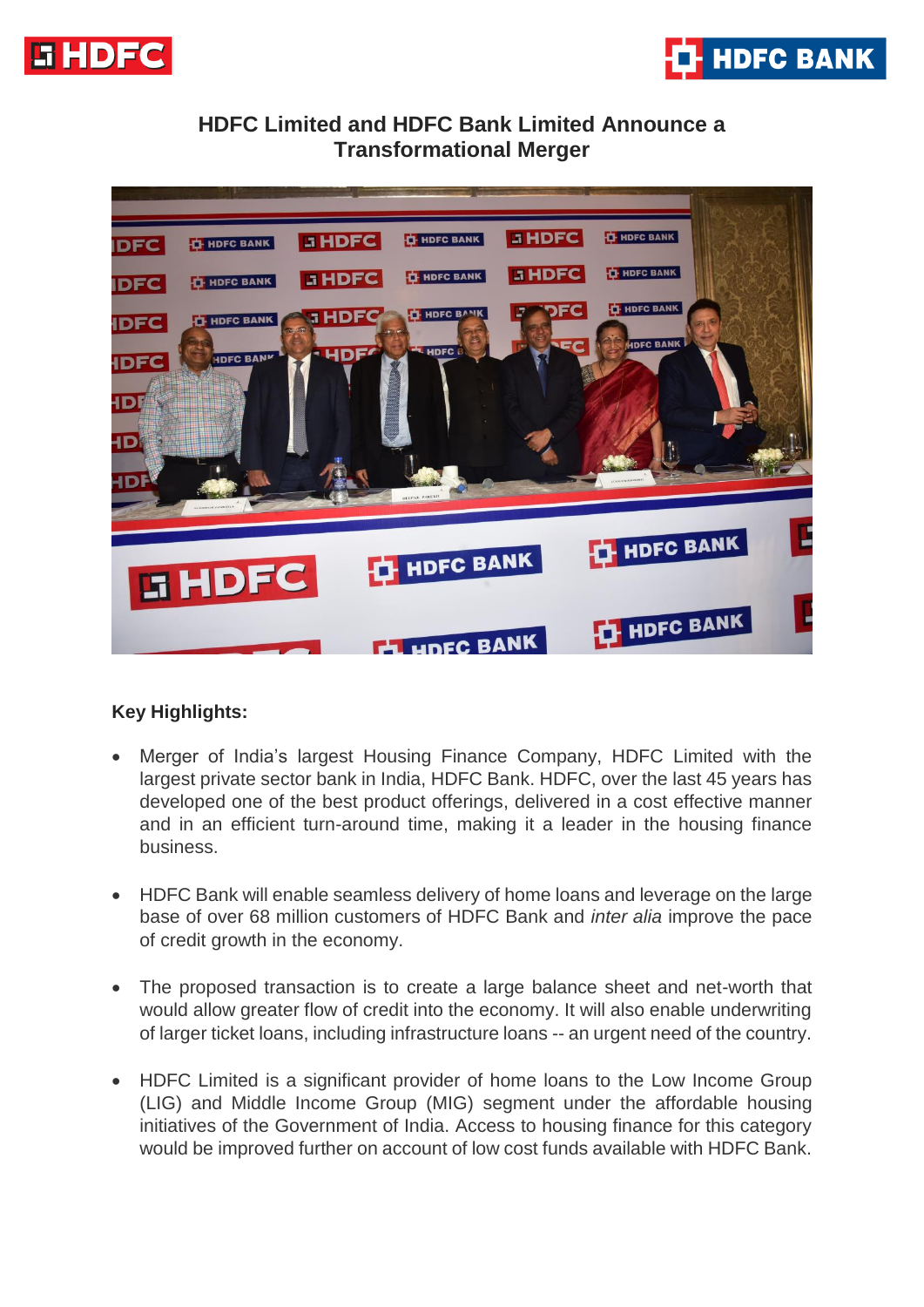



# **HDFC Limited and HDFC Bank Limited Announce a Transformational Merger**



## **Key Highlights:**

- Merger of India's largest Housing Finance Company, HDFC Limited with the largest private sector bank in India, HDFC Bank. HDFC, over the last 45 years has developed one of the best product offerings, delivered in a cost effective manner and in an efficient turn-around time, making it a leader in the housing finance business.
- HDFC Bank will enable seamless delivery of home loans and leverage on the large base of over 68 million customers of HDFC Bank and *inter alia* improve the pace of credit growth in the economy.
- The proposed transaction is to create a large balance sheet and net-worth that would allow greater flow of credit into the economy. It will also enable underwriting of larger ticket loans, including infrastructure loans -- an urgent need of the country.
- HDFC Limited is a significant provider of home loans to the Low Income Group (LIG) and Middle Income Group (MIG) segment under the affordable housing initiatives of the Government of India. Access to housing finance for this category would be improved further on account of low cost funds available with HDFC Bank.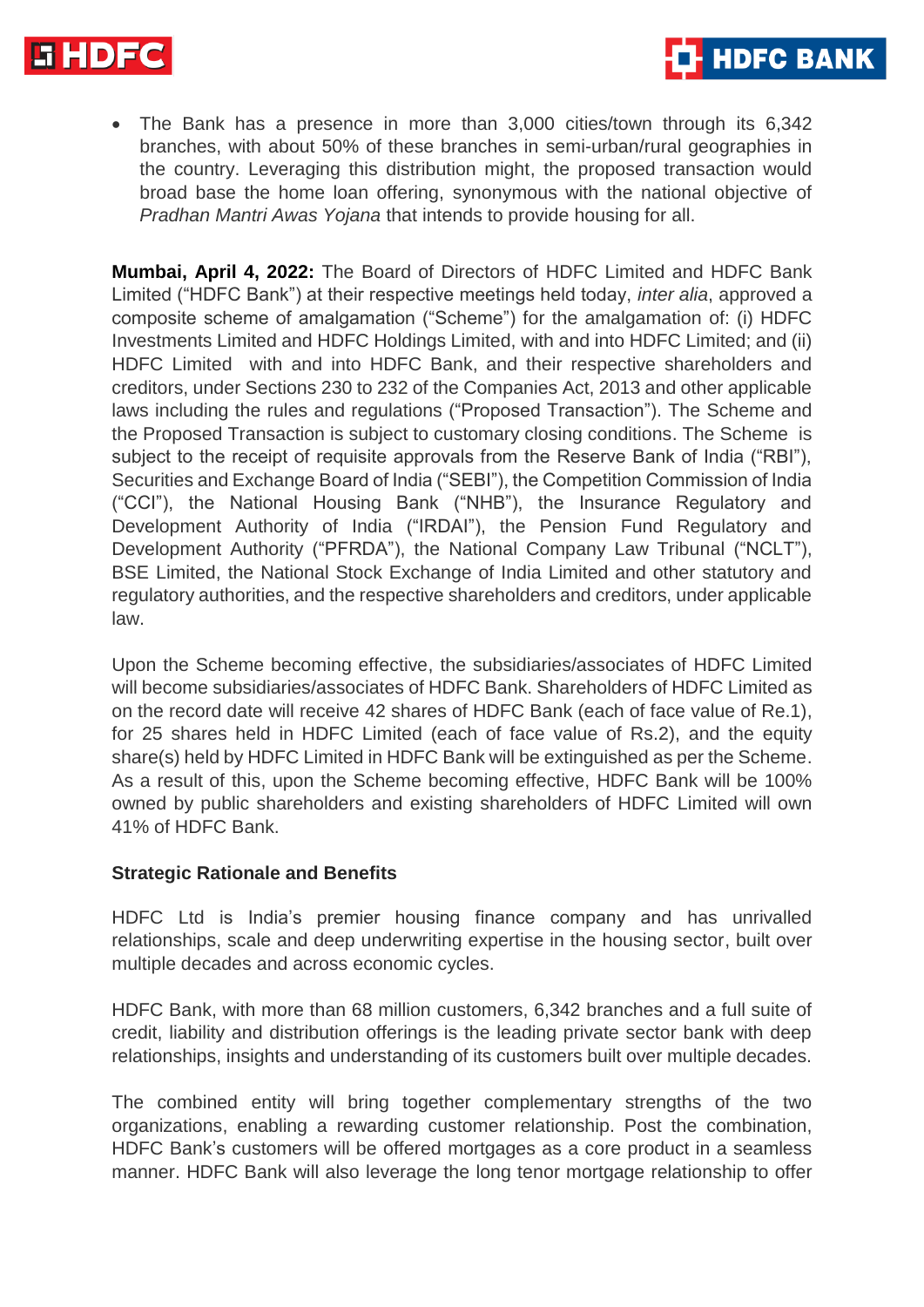

- **HDFC BANK**
- The Bank has a presence in more than 3,000 cities/town through its 6,342 branches, with about 50% of these branches in semi-urban/rural geographies in the country. Leveraging this distribution might, the proposed transaction would broad base the home loan offering, synonymous with the national objective of *Pradhan Mantri Awas Yojana* that intends to provide housing for all.

**Mumbai, April 4, 2022:** The Board of Directors of HDFC Limited and HDFC Bank Limited ("HDFC Bank") at their respective meetings held today, *inter alia*, approved a composite scheme of amalgamation ("Scheme") for the amalgamation of: (i) HDFC Investments Limited and HDFC Holdings Limited, with and into HDFC Limited; and (ii) HDFC Limited with and into HDFC Bank, and their respective shareholders and creditors, under Sections 230 to 232 of the Companies Act, 2013 and other applicable laws including the rules and regulations ("Proposed Transaction"). The Scheme and the Proposed Transaction is subject to customary closing conditions. The Scheme is subject to the receipt of requisite approvals from the Reserve Bank of India ("RBI"), Securities and Exchange Board of India ("SEBI"), the Competition Commission of India ("CCI"), the National Housing Bank ("NHB"), the Insurance Regulatory and Development Authority of India ("IRDAI"), the Pension Fund Regulatory and Development Authority ("PFRDA"), the National Company Law Tribunal ("NCLT"), BSE Limited, the National Stock Exchange of India Limited and other statutory and regulatory authorities, and the respective shareholders and creditors, under applicable law.

Upon the Scheme becoming effective, the subsidiaries/associates of HDFC Limited will become subsidiaries/associates of HDFC Bank. Shareholders of HDFC Limited as on the record date will receive 42 shares of HDFC Bank (each of face value of Re.1), for 25 shares held in HDFC Limited (each of face value of Rs.2), and the equity share(s) held by HDFC Limited in HDFC Bank will be extinguished as per the Scheme. As a result of this, upon the Scheme becoming effective, HDFC Bank will be 100% owned by public shareholders and existing shareholders of HDFC Limited will own 41% of HDFC Bank.

### **Strategic Rationale and Benefits**

HDFC Ltd is India's premier housing finance company and has unrivalled relationships, scale and deep underwriting expertise in the housing sector, built over multiple decades and across economic cycles.

HDFC Bank, with more than 68 million customers, 6,342 branches and a full suite of credit, liability and distribution offerings is the leading private sector bank with deep relationships, insights and understanding of its customers built over multiple decades.

The combined entity will bring together complementary strengths of the two organizations, enabling a rewarding customer relationship. Post the combination, HDFC Bank's customers will be offered mortgages as a core product in a seamless manner. HDFC Bank will also leverage the long tenor mortgage relationship to offer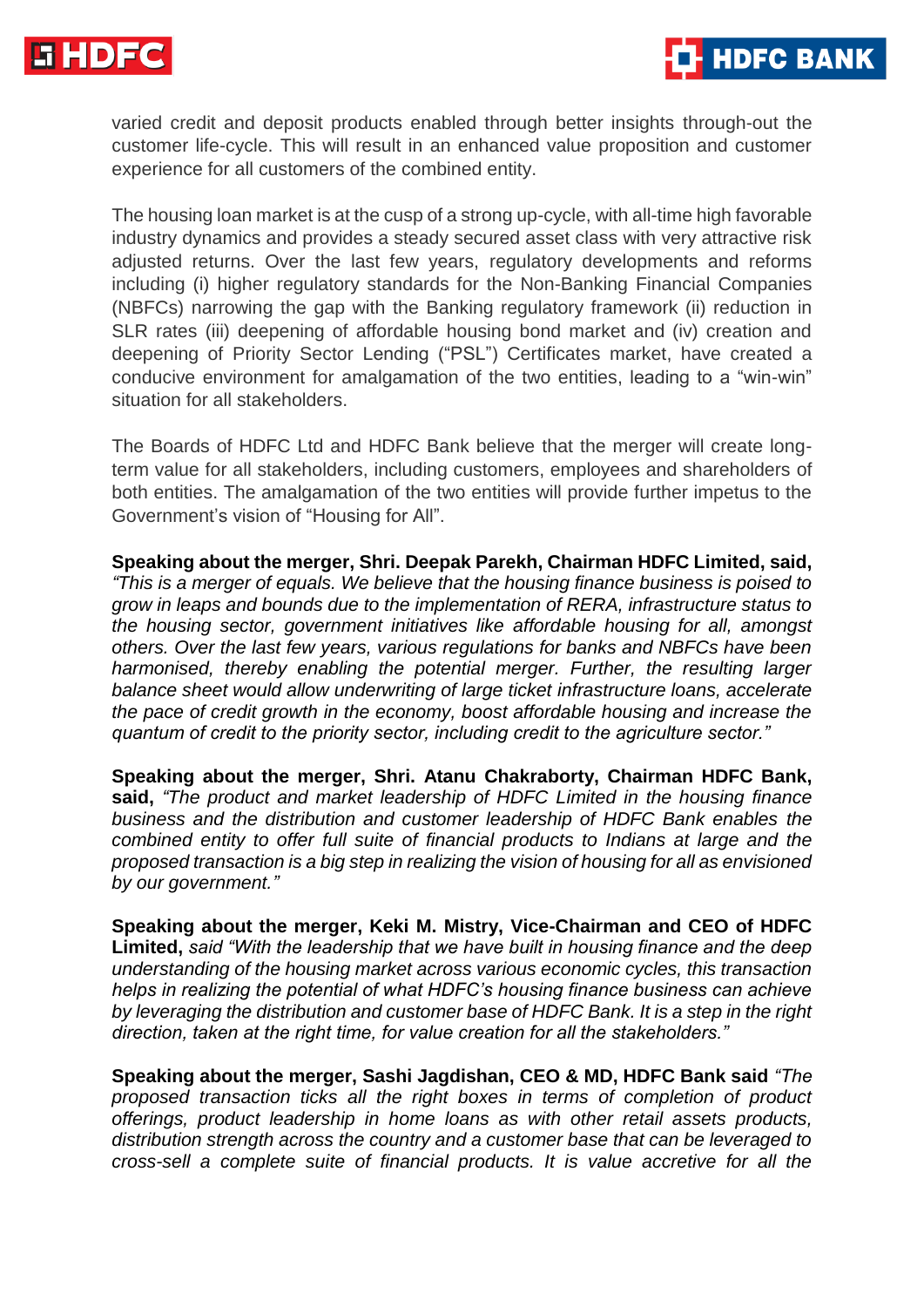

varied credit and deposit products enabled through better insights through-out the customer life-cycle. This will result in an enhanced value proposition and customer experience for all customers of the combined entity.

**HDFC BANK** 

The housing loan market is at the cusp of a strong up-cycle, with all-time high favorable industry dynamics and provides a steady secured asset class with very attractive risk adjusted returns. Over the last few years, regulatory developments and reforms including (i) higher regulatory standards for the Non-Banking Financial Companies (NBFCs) narrowing the gap with the Banking regulatory framework (ii) reduction in SLR rates (iii) deepening of affordable housing bond market and (iv) creation and deepening of Priority Sector Lending ("PSL") Certificates market, have created a conducive environment for amalgamation of the two entities, leading to a "win-win" situation for all stakeholders.

The Boards of HDFC Ltd and HDFC Bank believe that the merger will create longterm value for all stakeholders, including customers, employees and shareholders of both entities. The amalgamation of the two entities will provide further impetus to the Government's vision of "Housing for All".

**Speaking about the merger, Shri. Deepak Parekh, Chairman HDFC Limited, said,**  *"This is a merger of equals. We believe that the housing finance business is poised to grow in leaps and bounds due to the implementation of RERA, infrastructure status to the housing sector, government initiatives like affordable housing for all, amongst others. Over the last few years, various regulations for banks and NBFCs have been harmonised, thereby enabling the potential merger. Further, the resulting larger balance sheet would allow underwriting of large ticket infrastructure loans, accelerate the pace of credit growth in the economy, boost affordable housing and increase the quantum of credit to the priority sector, including credit to the agriculture sector."* 

**Speaking about the merger, Shri. Atanu Chakraborty, Chairman HDFC Bank, said,** *"The product and market leadership of HDFC Limited in the housing finance business and the distribution and customer leadership of HDFC Bank enables the combined entity to offer full suite of financial products to Indians at large and the proposed transaction is a big step in realizing the vision of housing for all as envisioned by our government."*

**Speaking about the merger, Keki M. Mistry, Vice-Chairman and CEO of HDFC Limited,** *said "With the leadership that we have built in housing finance and the deep understanding of the housing market across various economic cycles, this transaction helps in realizing the potential of what HDFC's housing finance business can achieve by leveraging the distribution and customer base of HDFC Bank. It is a step in the right direction, taken at the right time, for value creation for all the stakeholders."*

**Speaking about the merger, Sashi Jagdishan, CEO & MD, HDFC Bank said** *"The proposed transaction ticks all the right boxes in terms of completion of product offerings, product leadership in home loans as with other retail assets products, distribution strength across the country and a customer base that can be leveraged to cross-sell a complete suite of financial products. It is value accretive for all the*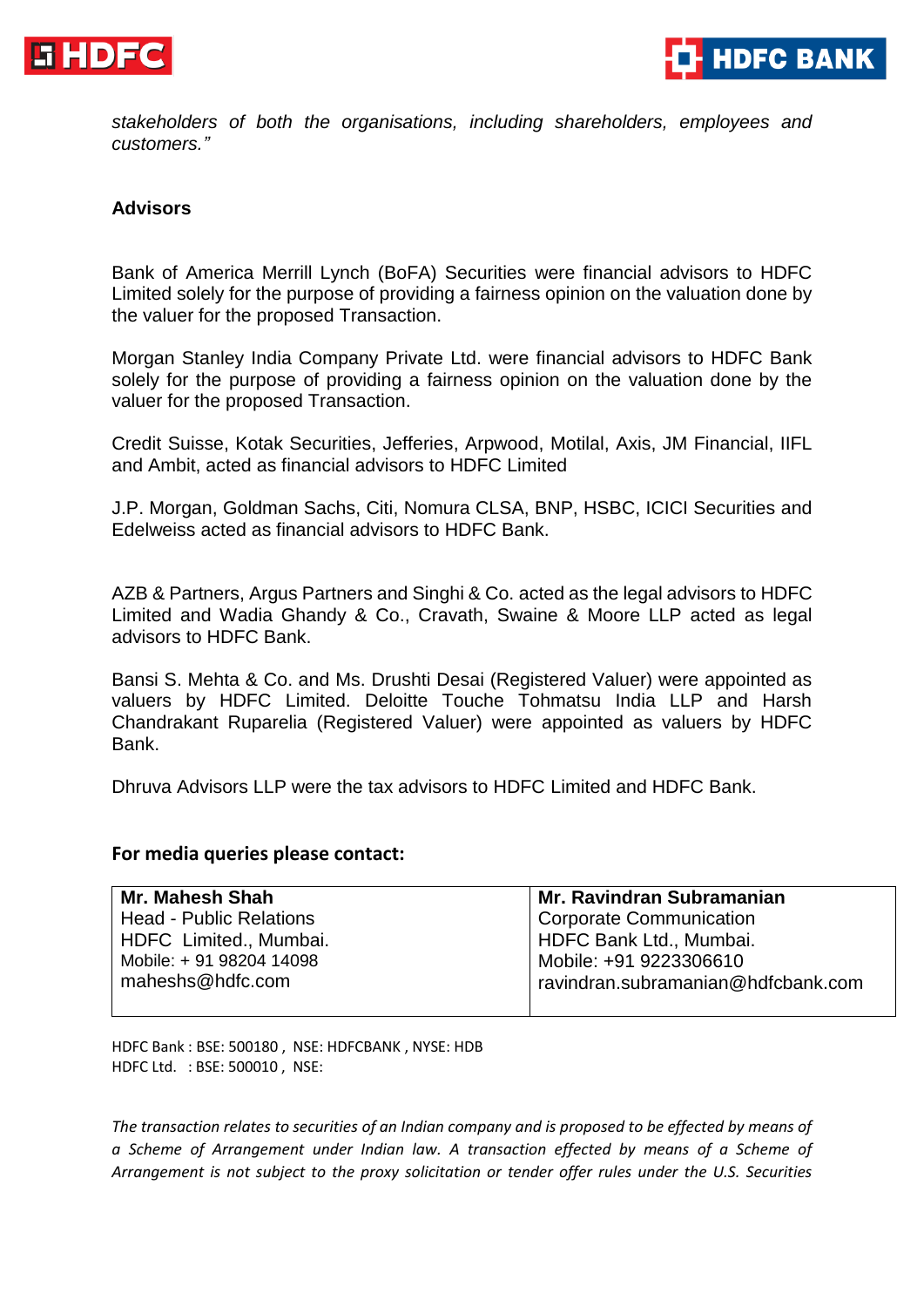



*stakeholders of both the organisations, including shareholders, employees and customers."*

#### **Advisors**

Bank of America Merrill Lynch (BoFA) Securities were financial advisors to HDFC Limited solely for the purpose of providing a fairness opinion on the valuation done by the valuer for the proposed Transaction.

Morgan Stanley India Company Private Ltd. were financial advisors to HDFC Bank solely for the purpose of providing a fairness opinion on the valuation done by the valuer for the proposed Transaction.

Credit Suisse, Kotak Securities, Jefferies, Arpwood, Motilal, Axis, JM Financial, IIFL and Ambit, acted as financial advisors to HDFC Limited

J.P. Morgan, Goldman Sachs, Citi, Nomura CLSA, BNP, HSBC, ICICI Securities and Edelweiss acted as financial advisors to HDFC Bank.

AZB & Partners, Argus Partners and Singhi & Co. acted as the legal advisors to HDFC Limited and Wadia Ghandy & Co., Cravath, Swaine & Moore LLP acted as legal advisors to HDFC Bank.

Bansi S. Mehta & Co. and Ms. Drushti Desai (Registered Valuer) were appointed as valuers by HDFC Limited. Deloitte Touche Tohmatsu India LLP and Harsh Chandrakant Ruparelia (Registered Valuer) were appointed as valuers by HDFC Bank.

Dhruva Advisors LLP were the tax advisors to HDFC Limited and HDFC Bank.

#### **For media queries please contact:**

| Mr. Mahesh Shah                | <b>Mr. Ravindran Subramanian</b>   |
|--------------------------------|------------------------------------|
| <b>Head - Public Relations</b> | <b>Corporate Communication</b>     |
| HDFC Limited., Mumbai.         | HDFC Bank Ltd., Mumbai.            |
| Mobile: +91 98204 14098        | Mobile: +91 9223306610             |
| maheshs@hdfc.com               | ravindran.subramanian@hdfcbank.com |
|                                |                                    |

HDFC Bank : BSE: 500180 , NSE: HDFCBANK , NYSE: HDB HDFC Ltd. : BSE: 500010 , NSE:

*The transaction relates to securities of an Indian company and is proposed to be effected by means of a Scheme of Arrangement under Indian law. A transaction effected by means of a Scheme of Arrangement is not subject to the proxy solicitation or tender offer rules under the U.S. Securities*